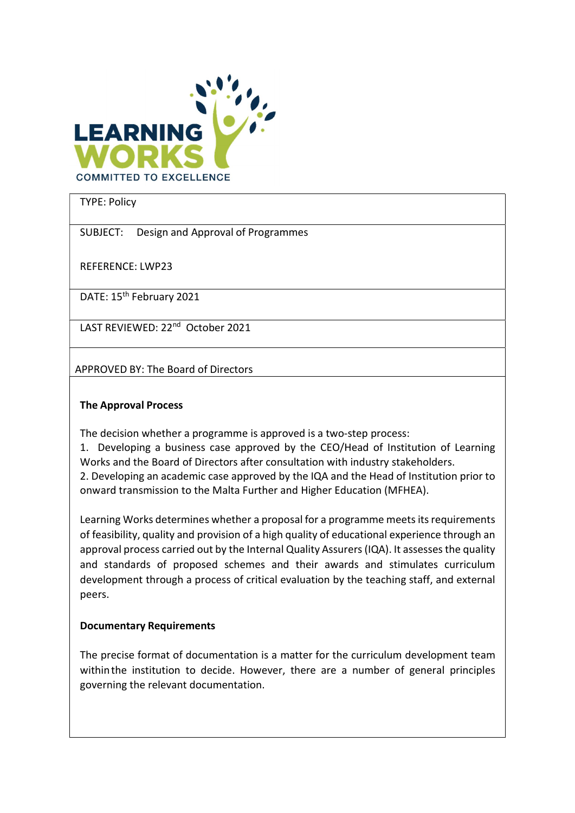

TYPE: Policy

SUBJECT: Design and Approval of Programmes

REFERENCE: LWP23

DATE: 15<sup>th</sup> February 2021

LAST REVIEWED: 22<sup>nd</sup> October 2021

APPROVED BY: The Board of Directors

## The Approval Process

The decision whether a programme is approved is a two-step process:

1. Developing a business case approved by the CEO/Head of Institution of Learning Works and the Board of Directors after consultation with industry stakeholders.

2. Developing an academic case approved by the IQA and the Head of Institution prior to onward transmission to the Malta Further and Higher Education (MFHEA).

Learning Works determines whether a proposal for a programme meets its requirements of feasibility, quality and provision of a high quality of educational experience through an approval process carried out by the Internal Quality Assurers (IQA). It assesses the quality and standards of proposed schemes and their awards and stimulates curriculum development through a process of critical evaluation by the teaching staff, and external peers.

## Documentary Requirements

The precise format of documentation is a matter for the curriculum development team within the institution to decide. However, there are a number of general principles governing the relevant documentation.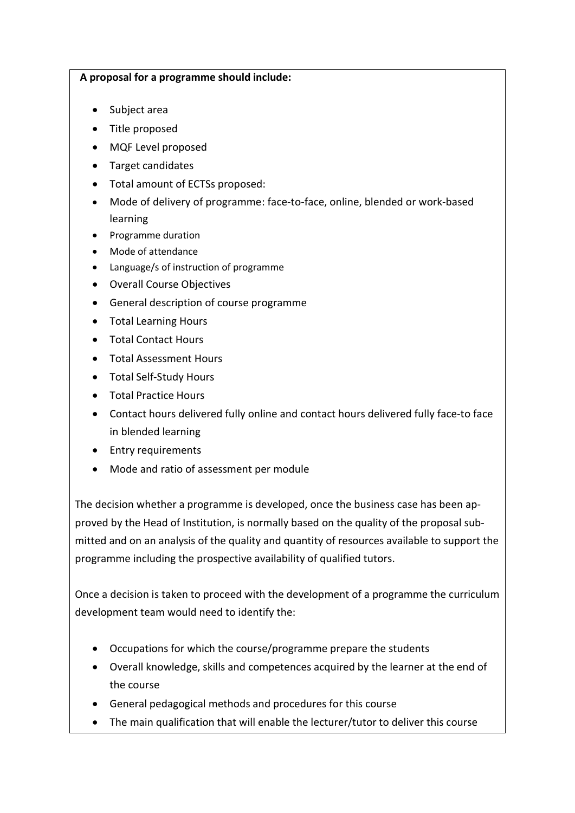## A proposal for a programme should include:

- Subject area
- Title proposed
- MQF Level proposed
- Target candidates
- Total amount of ECTSs proposed:
- Mode of delivery of programme: face-to-face, online, blended or work-based learning
- Programme duration
- Mode of attendance
- Language/s of instruction of programme
- Overall Course Objectives
- General description of course programme
- Total Learning Hours
- Total Contact Hours
- Total Assessment Hours
- Total Self-Study Hours
- Total Practice Hours
- Contact hours delivered fully online and contact hours delivered fully face-to face in blended learning
- Entry requirements
- Mode and ratio of assessment per module

The decision whether a programme is developed, once the business case has been approved by the Head of Institution, is normally based on the quality of the proposal submitted and on an analysis of the quality and quantity of resources available to support the programme including the prospective availability of qualified tutors.

Once a decision is taken to proceed with the development of a programme the curriculum development team would need to identify the:

- Occupations for which the course/programme prepare the students
- Overall knowledge, skills and competences acquired by the learner at the end of the course
- General pedagogical methods and procedures for this course
- The main qualification that will enable the lecturer/tutor to deliver this course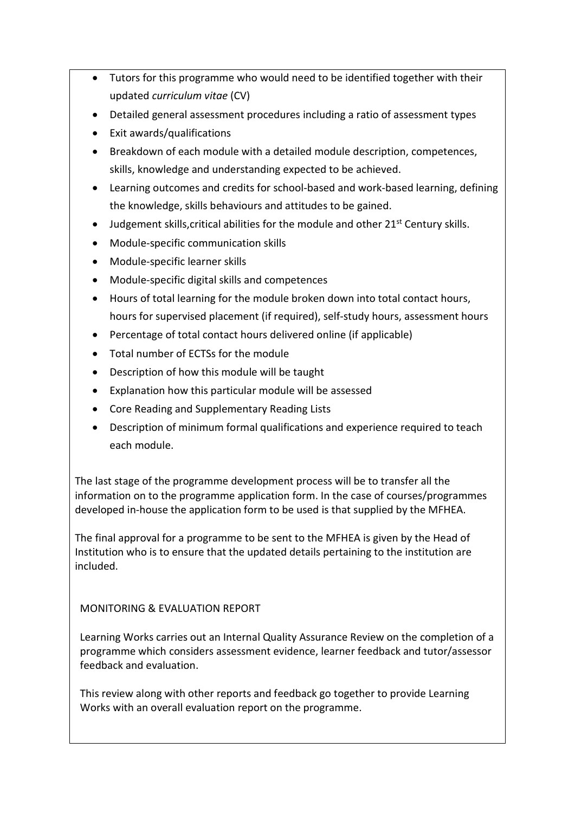- Tutors for this programme who would need to be identified together with their updated curriculum vitae (CV)
- Detailed general assessment procedures including a ratio of assessment types
- Exit awards/qualifications
- Breakdown of each module with a detailed module description, competences, skills, knowledge and understanding expected to be achieved.
- Learning outcomes and credits for school-based and work-based learning, defining the knowledge, skills behaviours and attitudes to be gained.
- $\bullet$  Judgement skills, critical abilities for the module and other 21<sup>st</sup> Century skills.
- Module-specific communication skills
- Module-specific learner skills
- Module-specific digital skills and competences
- Hours of total learning for the module broken down into total contact hours, hours for supervised placement (if required), self-study hours, assessment hours
- Percentage of total contact hours delivered online (if applicable)
- Total number of ECTSs for the module
- Description of how this module will be taught
- Explanation how this particular module will be assessed
- Core Reading and Supplementary Reading Lists
- Description of minimum formal qualifications and experience required to teach each module.

The last stage of the programme development process will be to transfer all the information on to the programme application form. In the case of courses/programmes developed in-house the application form to be used is that supplied by the MFHEA.

The final approval for a programme to be sent to the MFHEA is given by the Head of Institution who is to ensure that the updated details pertaining to the institution are included.

MONITORING & EVALUATION REPORT

Learning Works carries out an Internal Quality Assurance Review on the completion of a programme which considers assessment evidence, learner feedback and tutor/assessor feedback and evaluation.

This review along with other reports and feedback go together to provide Learning Works with an overall evaluation report on the programme.